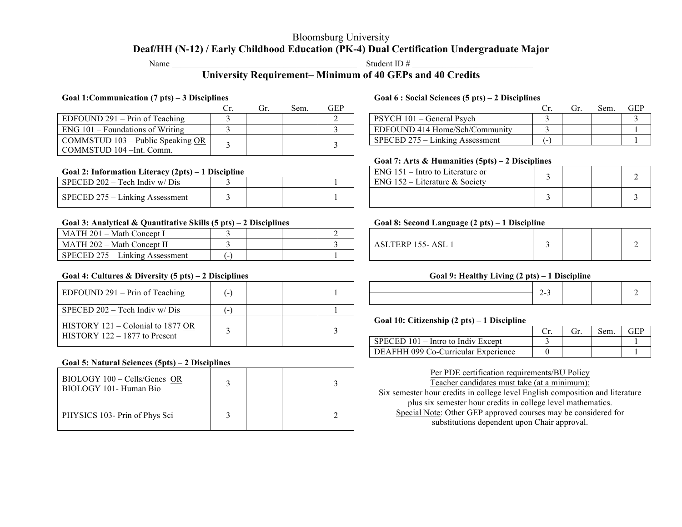## Bloomsburg University **Deaf/HH (N-12) / Early Childhood Education (PK-4) Dual Certification Undergraduate Major**

Name  $\frac{1}{2}$  Student ID  $\frac{1}{2}$ 

# **University Requirement– Minimum of 40 GEPs and 40 Credits**

### **Goal 1:Communication (7 pts) – 3 Disciplines Goal 6 : Social Sciences (5 pts) – 2 Disciplines**

|                                           | Gr | Sem. | GEP | Sem.                              | GF |
|-------------------------------------------|----|------|-----|-----------------------------------|----|
| EDFOUND $291 - Prin$ of Teaching          |    |      |     | PSYCH 101 – General Psych         |    |
| $ENG$ 101 – Foundations of Writing        |    |      |     | EDFOUND 414 Home/Sch/Community    |    |
| COMMSTUD 103 – Public Speaking OR $\perp$ |    |      |     | $SPECED$ 275 – Linking Assessment |    |
| COMMSTUD 104 - Int. Comm.                 |    |      |     |                                   |    |

### **Goal 2: Information Literacy (2pts) – 1 Discipline**

| SPECED $202 -$ Tech Indiv w/ Dis                              |  |  | ENG.<br><i>iterature &amp; Society</i> |  |  |
|---------------------------------------------------------------|--|--|----------------------------------------|--|--|
| <b>Linking Assessment</b><br>SPECED $275$<br>$\cdot$ $ \cdot$ |  |  |                                        |  |  |

### **Goal 3: Analytical & Quantitative Skills (5 pts) – 2 Disciplines Goal 8: Second Language (2 pts) – 1 Discipline**

| <b>IATH 201</b><br>– Math (<br>i Concept I      |  |  |                          |  |  |
|-------------------------------------------------|--|--|--------------------------|--|--|
| 1ATH 202<br>. – Math<br><sup>th</sup> Concept L |  |  | ASL.<br>АЭІ<br>ЕNГ<br>ັບ |  |  |
| . .<br>CED 275<br>SPE0<br>Linking Assessment    |  |  |                          |  |  |

### **Goal 4: Cultures & Diversity (5 pts) – 2 Disciplines Goal 9: Healthy Living (2 pts) – 1 Discipline**

| EDFOUND $291 - Prin$ of Teaching                                     |  |  |                                                       | $2 - 3$ |     |      |    |
|----------------------------------------------------------------------|--|--|-------------------------------------------------------|---------|-----|------|----|
| SPECED $202 -$ Tech Indiv w/ Dis                                     |  |  |                                                       |         |     |      |    |
|                                                                      |  |  | Goal 10: Citizenship $(2 \text{ pts}) - 1$ Discipline |         |     |      |    |
| HISTORY 121 – Colonial to 1877 OR<br>$HISTORY$ 122 – 1877 to Present |  |  |                                                       |         | (ir | Sem. | GF |
|                                                                      |  |  | $SPECED 101 - Intro to Indiv Except$                  |         |     |      |    |

### **Goal 5: Natural Sciences (5pts) – 2 Disciplines**

| BIOLOGY 100 - Cells/Genes OR<br>BIOLOGY 101- Human Bio |  |  |
|--------------------------------------------------------|--|--|
| PHYSICS 103- Prin of Phys Sci                          |  |  |

| Cr. | Sem. | GEP |                                 |  | Sem. | GEP |
|-----|------|-----|---------------------------------|--|------|-----|
|     |      |     | PSYCH 101 – General Psych       |  |      |     |
|     |      |     | EDFOUND 414 Home/Sch/Community  |  |      |     |
|     |      |     | SPECED 275 – Linking Assessment |  |      |     |

### **Goal 7: Arts & Humanities (5pts) – 2 Disciplines**

| Goal 2: Information Literacy (2pts) – 1 Discipline |  |  |  |  |  | $ENG$ 151 – Intro to Literature or |  |  |
|----------------------------------------------------|--|--|--|--|--|------------------------------------|--|--|
| SPECED 202 – Tech Indiv w/Dis                      |  |  |  |  |  | ENG $152$ – Literature & Society   |  |  |
| SPECED 275 – Linking Assessment                    |  |  |  |  |  |                                    |  |  |

| <b>ASLTERP 155-ASL 1</b> |  |  |  |  |
|--------------------------|--|--|--|--|
|--------------------------|--|--|--|--|

### **Goal 10: Citizenship (2 pts) – 1 Discipline**

|                                      |  | Sem. |  |
|--------------------------------------|--|------|--|
| $SPECED 101 - Intro to Indiv Except$ |  |      |  |
| DEAFHH 099 Co-Curricular Experience  |  |      |  |

Per PDE certification requirements/BU Policy Teacher candidates must take (at a minimum):

Six semester hour credits in college level English composition and literature plus six semester hour credits in college level mathematics. Special Note: Other GEP approved courses may be considered for substitutions dependent upon Chair approval.